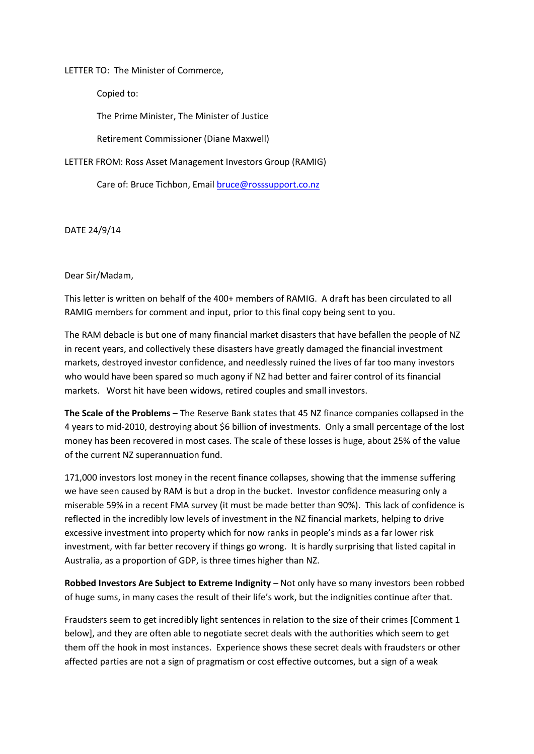LETTER TO: The Minister of Commerce,

Copied to:

The Prime Minister, The Minister of Justice

Retirement Commissioner (Diane Maxwell)

LETTER FROM: Ross Asset Management Investors Group (RAMIG)

Care of: Bruce Tichbon, Emai[l bruce@rosssupport.co.nz](mailto:bruce@rosssupport.co.nz)

DATE 24/9/14

Dear Sir/Madam,

This letter is written on behalf of the 400+ members of RAMIG. A draft has been circulated to all RAMIG members for comment and input, prior to this final copy being sent to you.

The RAM debacle is but one of many financial market disasters that have befallen the people of NZ in recent years, and collectively these disasters have greatly damaged the financial investment markets, destroyed investor confidence, and needlessly ruined the lives of far too many investors who would have been spared so much agony if NZ had better and fairer control of its financial markets. Worst hit have been widows, retired couples and small investors.

**The Scale of the Problems** – The Reserve Bank states that 45 NZ finance companies collapsed in the 4 years to mid-2010, destroying about \$6 billion of investments. Only a small percentage of the lost money has been recovered in most cases. The scale of these losses is huge, about 25% of the value of the current NZ superannuation fund.

171,000 investors lost money in the recent finance collapses, showing that the immense suffering we have seen caused by RAM is but a drop in the bucket. Investor confidence measuring only a miserable 59% in a recent FMA survey (it must be made better than 90%). This lack of confidence is reflected in the incredibly low levels of investment in the NZ financial markets, helping to drive excessive investment into property which for now ranks in people's minds as a far lower risk investment, with far better recovery if things go wrong. It is hardly surprising that listed capital in Australia, as a proportion of GDP, is three times higher than NZ.

**Robbed Investors Are Subject to Extreme Indignity** – Not only have so many investors been robbed of huge sums, in many cases the result of their life's work, but the indignities continue after that.

Fraudsters seem to get incredibly light sentences in relation to the size of their crimes [Comment 1 below], and they are often able to negotiate secret deals with the authorities which seem to get them off the hook in most instances. Experience shows these secret deals with fraudsters or other affected parties are not a sign of pragmatism or cost effective outcomes, but a sign of a weak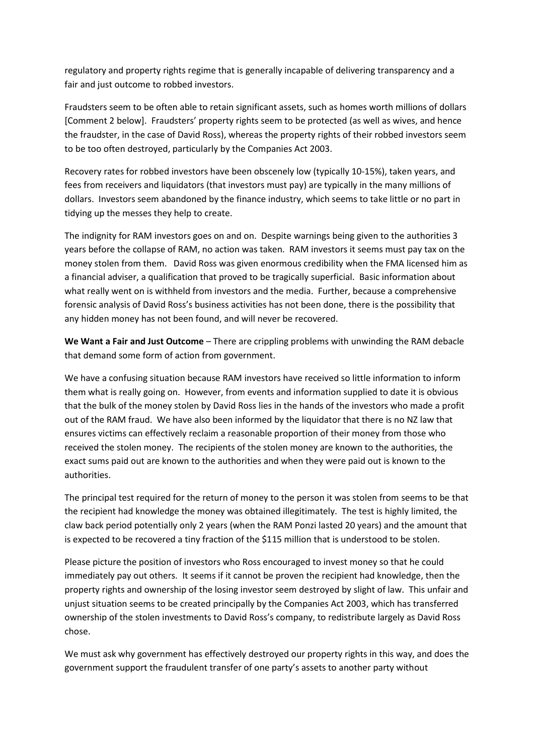regulatory and property rights regime that is generally incapable of delivering transparency and a fair and just outcome to robbed investors.

Fraudsters seem to be often able to retain significant assets, such as homes worth millions of dollars [Comment 2 below]. Fraudsters' property rights seem to be protected (as well as wives, and hence the fraudster, in the case of David Ross), whereas the property rights of their robbed investors seem to be too often destroyed, particularly by the Companies Act 2003.

Recovery rates for robbed investors have been obscenely low (typically 10-15%), taken years, and fees from receivers and liquidators (that investors must pay) are typically in the many millions of dollars. Investors seem abandoned by the finance industry, which seems to take little or no part in tidying up the messes they help to create.

The indignity for RAM investors goes on and on. Despite warnings being given to the authorities 3 years before the collapse of RAM, no action was taken. RAM investors it seems must pay tax on the money stolen from them. David Ross was given enormous credibility when the FMA licensed him as a financial adviser, a qualification that proved to be tragically superficial. Basic information about what really went on is withheld from investors and the media. Further, because a comprehensive forensic analysis of David Ross's business activities has not been done, there is the possibility that any hidden money has not been found, and will never be recovered.

**We Want a Fair and Just Outcome** – There are crippling problems with unwinding the RAM debacle that demand some form of action from government.

We have a confusing situation because RAM investors have received so little information to inform them what is really going on. However, from events and information supplied to date it is obvious that the bulk of the money stolen by David Ross lies in the hands of the investors who made a profit out of the RAM fraud. We have also been informed by the liquidator that there is no NZ law that ensures victims can effectively reclaim a reasonable proportion of their money from those who received the stolen money. The recipients of the stolen money are known to the authorities, the exact sums paid out are known to the authorities and when they were paid out is known to the authorities.

The principal test required for the return of money to the person it was stolen from seems to be that the recipient had knowledge the money was obtained illegitimately. The test is highly limited, the claw back period potentially only 2 years (when the RAM Ponzi lasted 20 years) and the amount that is expected to be recovered a tiny fraction of the \$115 million that is understood to be stolen.

Please picture the position of investors who Ross encouraged to invest money so that he could immediately pay out others. It seems if it cannot be proven the recipient had knowledge, then the property rights and ownership of the losing investor seem destroyed by slight of law. This unfair and unjust situation seems to be created principally by the Companies Act 2003, which has transferred ownership of the stolen investments to David Ross's company, to redistribute largely as David Ross chose.

We must ask why government has effectively destroyed our property rights in this way, and does the government support the fraudulent transfer of one party's assets to another party without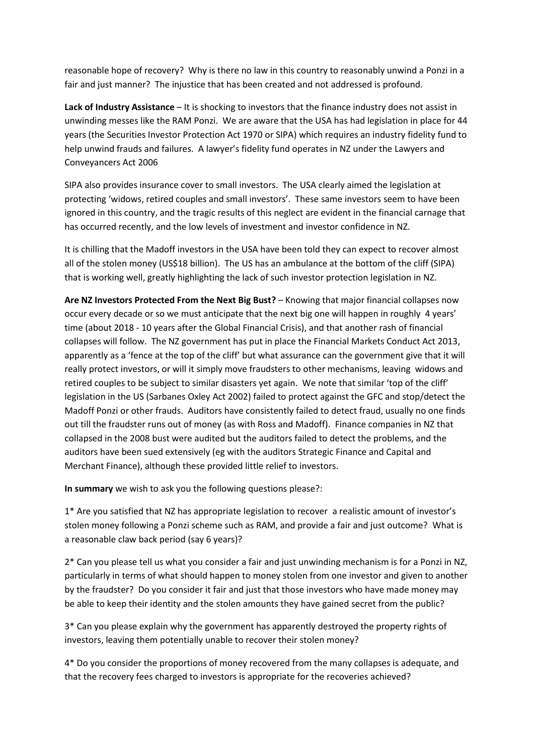reasonable hope of recovery? Why is there no law in this country to reasonably unwind a Ponzi in a fair and just manner? The injustice that has been created and not addressed is profound.

**Lack of Industry Assistance** – It is shocking to investors that the finance industry does not assist in unwinding messes like the RAM Ponzi. We are aware that the USA has had legislation in place for 44 years (the Securities Investor Protection Act 1970 or SIPA) which requires an industry fidelity fund to help unwind frauds and failures. A lawyer's fidelity fund operates in NZ under the Lawyers and Conveyancers Act 2006

SIPA also provides insurance cover to small investors. The USA clearly aimed the legislation at protecting 'widows, retired couples and small investors'. These same investors seem to have been ignored in this country, and the tragic results of this neglect are evident in the financial carnage that has occurred recently, and the low levels of investment and investor confidence in NZ.

It is chilling that the Madoff investors in the USA have been told they can expect to recover almost all of the stolen money (US\$18 billion). The US has an ambulance at the bottom of the cliff (SIPA) that is working well, greatly highlighting the lack of such investor protection legislation in NZ.

**Are NZ Investors Protected From the Next Big Bust?** – Knowing that major financial collapses now occur every decade or so we must anticipate that the next big one will happen in roughly 4 years' time (about 2018 - 10 years after the Global Financial Crisis), and that another rash of financial collapses will follow. The NZ government has put in place the Financial Markets Conduct Act 2013, apparently as a 'fence at the top of the cliff' but what assurance can the government give that it will really protect investors, or will it simply move fraudsters to other mechanisms, leaving widows and retired couples to be subject to similar disasters yet again. We note that similar 'top of the cliff' legislation in the US (Sarbanes Oxley Act 2002) failed to protect against the GFC and stop/detect the Madoff Ponzi or other frauds. Auditors have consistently failed to detect fraud, usually no one finds out till the fraudster runs out of money (as with Ross and Madoff). Finance companies in NZ that collapsed in the 2008 bust were audited but the auditors failed to detect the problems, and the auditors have been sued extensively (eg with the auditors Strategic Finance and Capital and Merchant Finance), although these provided little relief to investors.

**In summary** we wish to ask you the following questions please?:

1\* Are you satisfied that NZ has appropriate legislation to recover a realistic amount of investor's stolen money following a Ponzi scheme such as RAM, and provide a fair and just outcome? What is a reasonable claw back period (say 6 years)?

2\* Can you please tell us what you consider a fair and just unwinding mechanism is for a Ponzi in NZ, particularly in terms of what should happen to money stolen from one investor and given to another by the fraudster? Do you consider it fair and just that those investors who have made money may be able to keep their identity and the stolen amounts they have gained secret from the public?

3\* Can you please explain why the government has apparently destroyed the property rights of investors, leaving them potentially unable to recover their stolen money?

4\* Do you consider the proportions of money recovered from the many collapses is adequate, and that the recovery fees charged to investors is appropriate for the recoveries achieved?